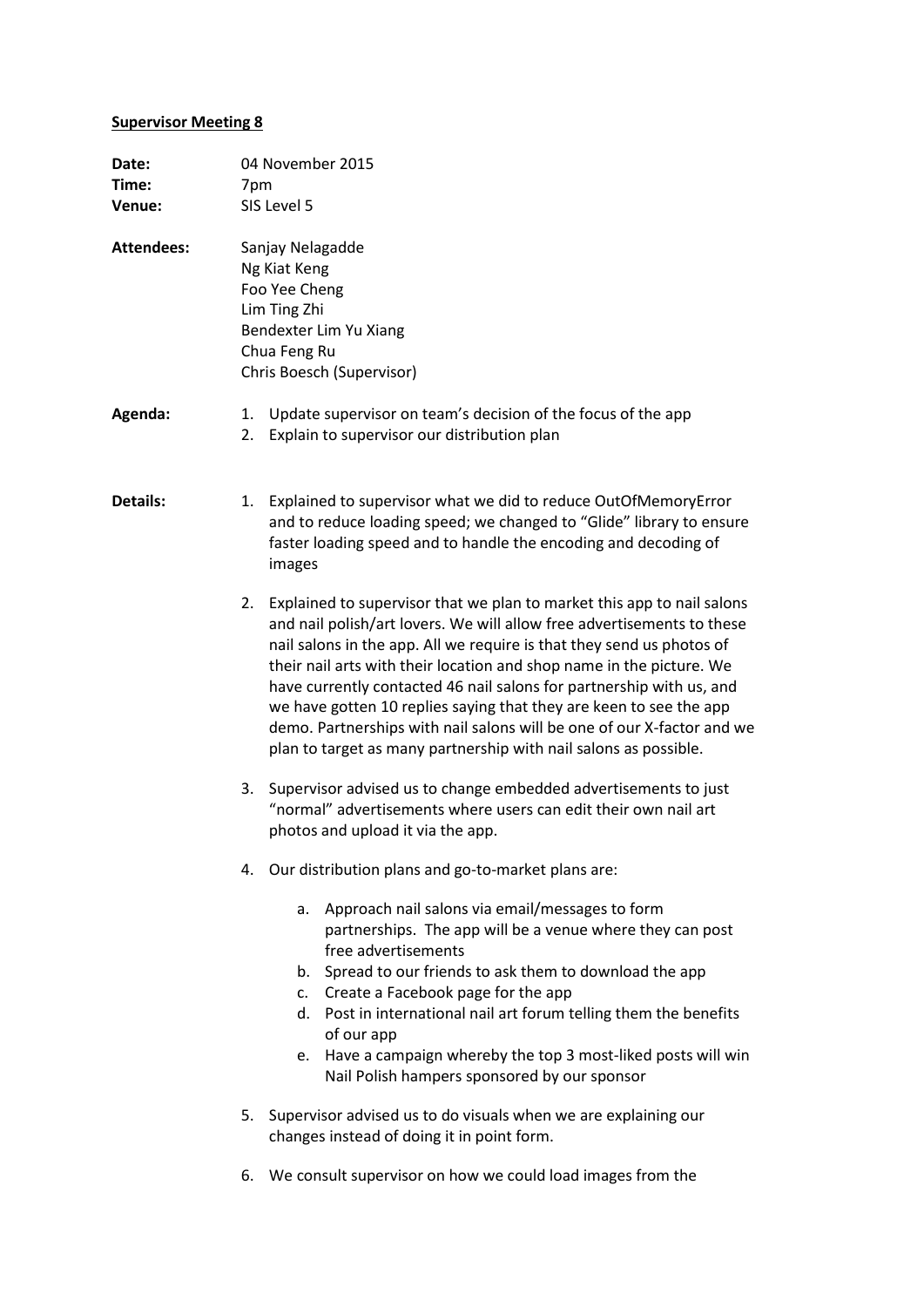## **Supervisor Meeting 8**

| Date:<br>Time:<br>Venue: |          | 04 November 2015<br>7pm<br>SIS Level 5                                                                                                                                                                                                                                                                                                                                                                                                                                                                                                                                                        |  |  |
|--------------------------|----------|-----------------------------------------------------------------------------------------------------------------------------------------------------------------------------------------------------------------------------------------------------------------------------------------------------------------------------------------------------------------------------------------------------------------------------------------------------------------------------------------------------------------------------------------------------------------------------------------------|--|--|
| <b>Attendees:</b>        |          | Sanjay Nelagadde<br>Ng Kiat Keng<br>Foo Yee Cheng<br>Lim Ting Zhi<br>Bendexter Lim Yu Xiang<br>Chua Feng Ru<br>Chris Boesch (Supervisor)                                                                                                                                                                                                                                                                                                                                                                                                                                                      |  |  |
| Agenda:                  | 1.<br>2. | Update supervisor on team's decision of the focus of the app<br>Explain to supervisor our distribution plan                                                                                                                                                                                                                                                                                                                                                                                                                                                                                   |  |  |
| Details:                 | 1.       | Explained to supervisor what we did to reduce OutOfMemoryError<br>and to reduce loading speed; we changed to "Glide" library to ensure<br>faster loading speed and to handle the encoding and decoding of<br>images                                                                                                                                                                                                                                                                                                                                                                           |  |  |
|                          | 2.       | Explained to supervisor that we plan to market this app to nail salons<br>and nail polish/art lovers. We will allow free advertisements to these<br>nail salons in the app. All we require is that they send us photos of<br>their nail arts with their location and shop name in the picture. We<br>have currently contacted 46 nail salons for partnership with us, and<br>we have gotten 10 replies saying that they are keen to see the app<br>demo. Partnerships with nail salons will be one of our X-factor and we<br>plan to target as many partnership with nail salons as possible. |  |  |
|                          | 3.       | Supervisor advised us to change embedded advertisements to just<br>"normal" advertisements where users can edit their own nail art<br>photos and upload it via the app.                                                                                                                                                                                                                                                                                                                                                                                                                       |  |  |
|                          |          | 4. Our distribution plans and go-to-market plans are:                                                                                                                                                                                                                                                                                                                                                                                                                                                                                                                                         |  |  |
|                          |          | Approach nail salons via email/messages to form<br>a.<br>partnerships. The app will be a venue where they can post<br>free advertisements<br>b. Spread to our friends to ask them to download the app<br>c. Create a Facebook page for the app<br>d. Post in international nail art forum telling them the benefits<br>of our app<br>Have a campaign whereby the top 3 most-liked posts will win<br>e.<br>Nail Polish hampers sponsored by our sponsor                                                                                                                                        |  |  |
|                          |          | 5. Supervisor advised us to do visuals when we are explaining our<br>changes instead of doing it in point form.                                                                                                                                                                                                                                                                                                                                                                                                                                                                               |  |  |
|                          | 6.       | We consult supervisor on how we could load images from the                                                                                                                                                                                                                                                                                                                                                                                                                                                                                                                                    |  |  |